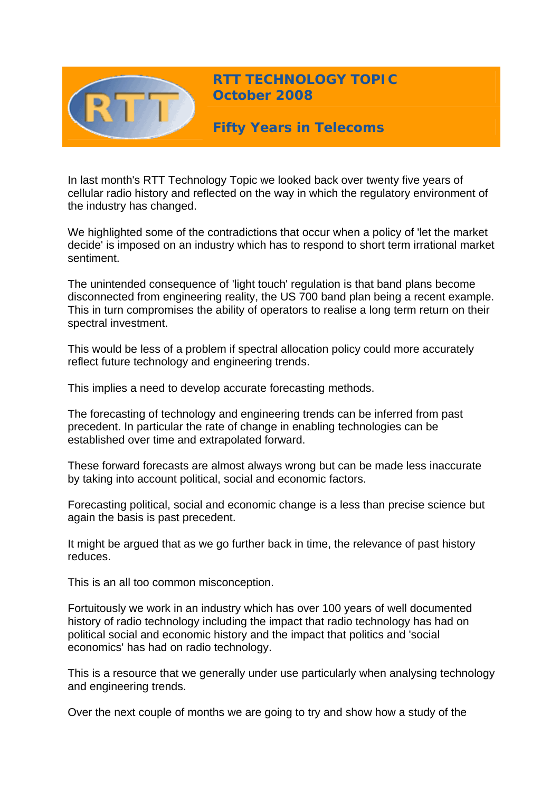

In last month's RTT Technology Topic we looked back over twenty five years of cellular radio history and reflected on the way in which the regulatory environment of the industry has changed.

We highlighted some of the contradictions that occur when a policy of 'let the market decide' is imposed on an industry which has to respond to short term irrational market sentiment.

The unintended consequence of 'light touch' regulation is that band plans become disconnected from engineering reality, the US 700 band plan being a recent example. This in turn compromises the ability of operators to realise a long term return on their spectral investment.

This would be less of a problem if spectral allocation policy could more accurately reflect future technology and engineering trends.

This implies a need to develop accurate forecasting methods.

The forecasting of technology and engineering trends can be inferred from past precedent. In particular the rate of change in enabling technologies can be established over time and extrapolated forward.

These forward forecasts are almost always wrong but can be made less inaccurate by taking into account political, social and economic factors.

Forecasting political, social and economic change is a less than precise science but again the basis is past precedent.

It might be argued that as we go further back in time, the relevance of past history reduces.

This is an all too common misconception.

Fortuitously we work in an industry which has over 100 years of well documented history of radio technology including the impact that radio technology has had on political social and economic history and the impact that politics and 'social economics' has had on radio technology.

This is a resource that we generally under use particularly when analysing technology and engineering trends.

Over the next couple of months we are going to try and show how a study of the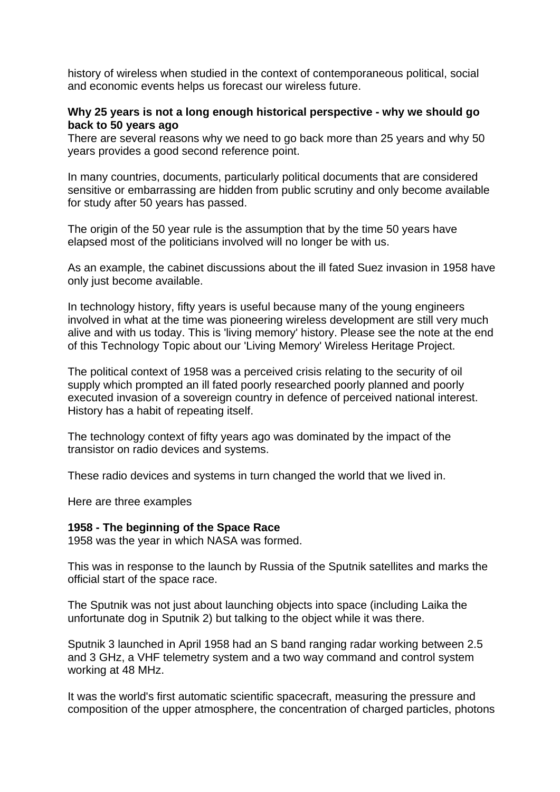history of wireless when studied in the context of contemporaneous political, social and economic events helps us forecast our wireless future.

### **Why 25 years is not a long enough historical perspective - why we should go back to 50 years ago**

There are several reasons why we need to go back more than 25 years and why 50 years provides a good second reference point.

In many countries, documents, particularly political documents that are considered sensitive or embarrassing are hidden from public scrutiny and only become available for study after 50 years has passed.

The origin of the 50 year rule is the assumption that by the time 50 years have elapsed most of the politicians involved will no longer be with us.

As an example, the cabinet discussions about the ill fated Suez invasion in 1958 have only just become available.

In technology history, fifty years is useful because many of the young engineers involved in what at the time was pioneering wireless development are still very much alive and with us today. This is 'living memory' history. Please see the note at the end of this Technology Topic about our 'Living Memory' Wireless Heritage Project.

The political context of 1958 was a perceived crisis relating to the security of oil supply which prompted an ill fated poorly researched poorly planned and poorly executed invasion of a sovereign country in defence of perceived national interest. History has a habit of repeating itself.

The technology context of fifty years ago was dominated by the impact of the transistor on radio devices and systems.

These radio devices and systems in turn changed the world that we lived in.

Here are three examples

### **1958 - The beginning of the Space Race**

1958 was the year in which NASA was formed.

This was in response to the launch by Russia of the Sputnik satellites and marks the official start of the space race.

The Sputnik was not just about launching objects into space (including Laika the unfortunate dog in Sputnik 2) but talking to the object while it was there.

Sputnik 3 launched in April 1958 had an S band ranging radar working between 2.5 and 3 GHz, a VHF telemetry system and a two way command and control system working at 48 MHz.

It was the world's first automatic scientific spacecraft, measuring the pressure and composition of the upper atmosphere, the concentration of charged particles, photons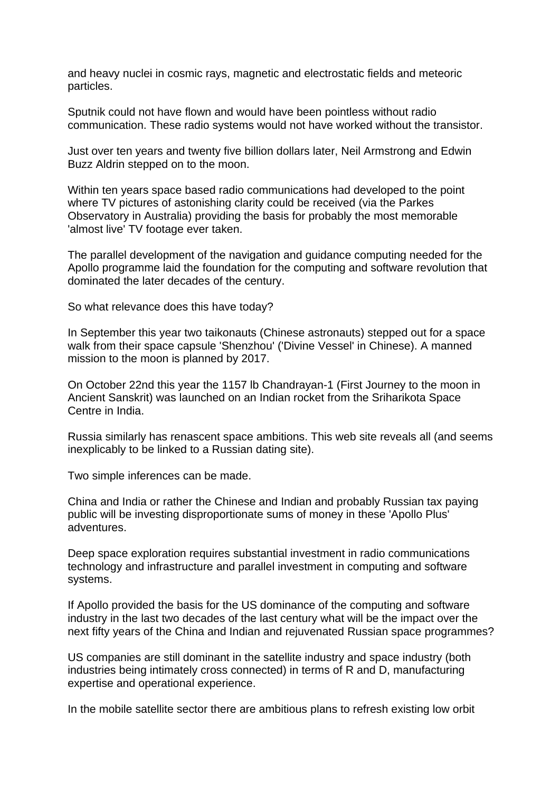and heavy nuclei in cosmic rays, magnetic and electrostatic fields and meteoric particles.

Sputnik could not have flown and would have been pointless without radio communication. These radio systems would not have worked without the transistor.

Just over ten years and twenty five billion dollars later, Neil Armstrong and Edwin Buzz Aldrin stepped on to the moon.

Within ten years space based radio communications had developed to the point where TV pictures of astonishing clarity could be received (via the Parkes Observatory in Australia) providing the basis for probably the most memorable 'almost live' TV footage ever taken.

The parallel development of the navigation and guidance computing needed for the Apollo programme laid the foundation for the computing and software revolution that dominated the later decades of the century.

So what relevance does this have today?

In September this year two taikonauts (Chinese astronauts) stepped out for a space walk from their space capsule 'Shenzhou' ('Divine Vessel' in Chinese). A manned mission to the moon is planned by 2017.

On October 22nd this year the 1157 lb Chandrayan-1 (First Journey to the moon in Ancient Sanskrit) was launched on an Indian rocket from the Sriharikota Space Centre in India.

Russia similarly has renascent space ambitions. This web site reveals all (and seems inexplicably to be linked to a Russian dating site).

Two simple inferences can be made.

China and India or rather the Chinese and Indian and probably Russian tax paying public will be investing disproportionate sums of money in these 'Apollo Plus' adventures.

Deep space exploration requires substantial investment in radio communications technology and infrastructure and parallel investment in computing and software systems.

If Apollo provided the basis for the US dominance of the computing and software industry in the last two decades of the last century what will be the impact over the next fifty years of the China and Indian and rejuvenated Russian space programmes?

US companies are still dominant in the satellite industry and space industry (both industries being intimately cross connected) in terms of R and D, manufacturing expertise and operational experience.

In the mobile satellite sector there are ambitious plans to refresh existing low orbit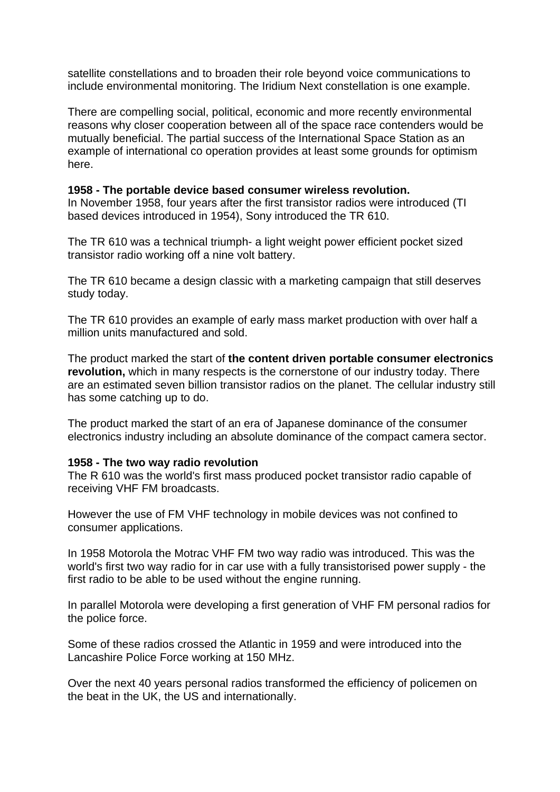satellite constellations and to broaden their role beyond voice communications to include environmental monitoring. The Iridium Next constellation is one example.

There are compelling social, political, economic and more recently environmental reasons why closer cooperation between all of the space race contenders would be mutually beneficial. The partial success of the International Space Station as an example of international co operation provides at least some grounds for optimism here.

### **1958 - The portable device based consumer wireless revolution.**

In November 1958, four years after the first transistor radios were introduced (TI based devices introduced in 1954), Sony introduced the TR 610.

The TR 610 was a technical triumph- a light weight power efficient pocket sized transistor radio working off a nine volt battery.

The TR 610 became a design classic with a marketing campaign that still deserves study today.

The TR 610 provides an example of early mass market production with over half a million units manufactured and sold.

The product marked the start of **the content driven portable consumer electronics revolution,** which in many respects is the cornerstone of our industry today. There are an estimated seven billion transistor radios on the planet. The cellular industry still has some catching up to do.

The product marked the start of an era of Japanese dominance of the consumer electronics industry including an absolute dominance of the compact camera sector.

### **1958 - The two way radio revolution**

The R 610 was the world's first mass produced pocket transistor radio capable of receiving VHF FM broadcasts.

However the use of FM VHF technology in mobile devices was not confined to consumer applications.

In 1958 Motorola the Motrac VHF FM two way radio was introduced. This was the world's first two way radio for in car use with a fully transistorised power supply - the first radio to be able to be used without the engine running.

In parallel Motorola were developing a first generation of VHF FM personal radios for the police force.

Some of these radios crossed the Atlantic in 1959 and were introduced into the Lancashire Police Force working at 150 MHz.

Over the next 40 years personal radios transformed the efficiency of policemen on the beat in the UK, the US and internationally.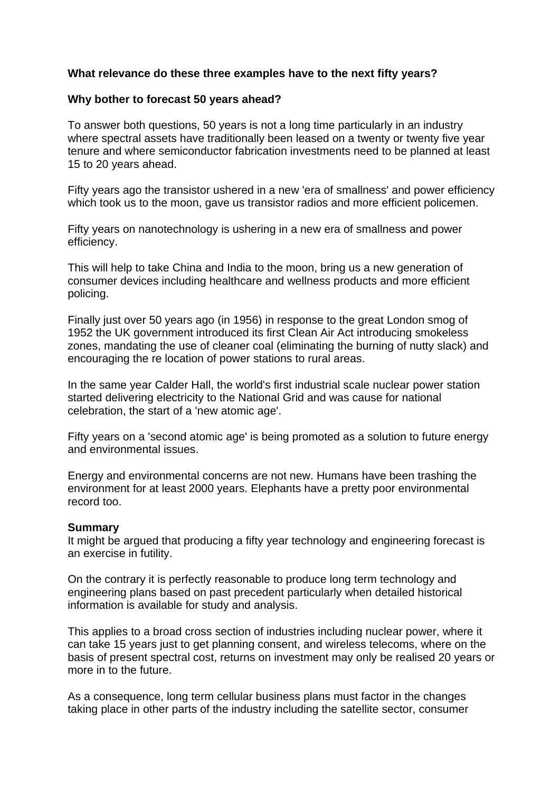# **What relevance do these three examples have to the next fifty years?**

# **Why bother to forecast 50 years ahead?**

To answer both questions, 50 years is not a long time particularly in an industry where spectral assets have traditionally been leased on a twenty or twenty five year tenure and where semiconductor fabrication investments need to be planned at least 15 to 20 years ahead.

Fifty years ago the transistor ushered in a new 'era of smallness' and power efficiency which took us to the moon, gave us transistor radios and more efficient policemen.

Fifty years on nanotechnology is ushering in a new era of smallness and power efficiency.

This will help to take China and India to the moon, bring us a new generation of consumer devices including healthcare and wellness products and more efficient policing.

Finally just over 50 years ago (in 1956) in response to the great London smog of 1952 the UK government introduced its first Clean Air Act introducing smokeless zones, mandating the use of cleaner coal (eliminating the burning of nutty slack) and encouraging the re location of power stations to rural areas.

In the same year Calder Hall, the world's first industrial scale nuclear power station started delivering electricity to the National Grid and was cause for national celebration, the start of a 'new atomic age'.

Fifty years on a 'second atomic age' is being promoted as a solution to future energy and environmental issues.

Energy and environmental concerns are not new. Humans have been trashing the environment for at least 2000 years. Elephants have a pretty poor environmental record too.

### **Summary**

It might be argued that producing a fifty year technology and engineering forecast is an exercise in futility.

On the contrary it is perfectly reasonable to produce long term technology and engineering plans based on past precedent particularly when detailed historical information is available for study and analysis.

This applies to a broad cross section of industries including nuclear power, where it can take 15 years just to get planning consent, and wireless telecoms, where on the basis of present spectral cost, returns on investment may only be realised 20 years or more in to the future.

As a consequence, long term cellular business plans must factor in the changes taking place in other parts of the industry including the satellite sector, consumer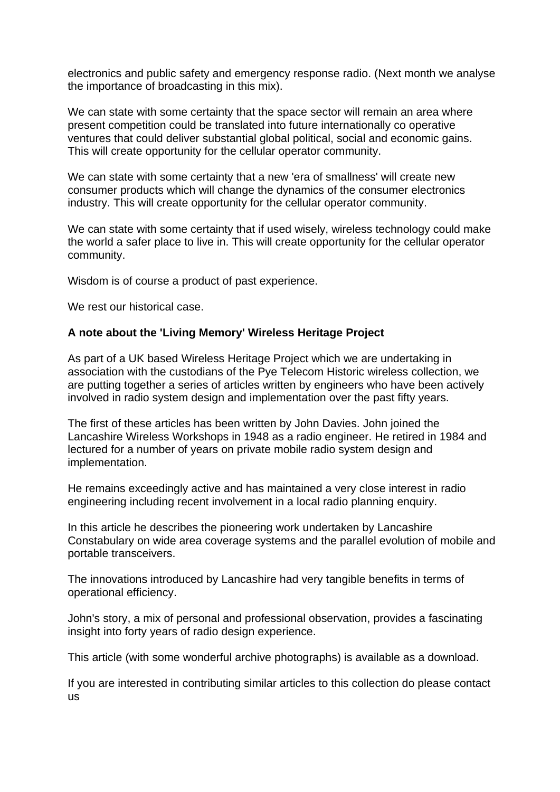electronics and public safety and emergency response radio. (Next month we analyse the importance of broadcasting in this mix).

We can state with some certainty that the space sector will remain an area where present competition could be translated into future internationally co operative ventures that could deliver substantial global political, social and economic gains. This will create opportunity for the cellular operator community.

We can state with some certainty that a new 'era of smallness' will create new consumer products which will change the dynamics of the consumer electronics industry. This will create opportunity for the cellular operator community.

We can state with some certainty that if used wisely, wireless technology could make the world a safer place to live in. This will create opportunity for the cellular operator community.

Wisdom is of course a product of past experience.

We rest our historical case.

# **A note about the 'Living Memory' Wireless Heritage Project**

As part of a UK based Wireless Heritage Project which we are undertaking in association with the custodians of the Pye Telecom Historic wireless collection, we are putting together a series of articles written by engineers who have been actively involved in radio system design and implementation over the past fifty years.

The first of these articles has been written by John Davies. John joined the Lancashire Wireless Workshops in 1948 as a radio engineer. He retired in 1984 and lectured for a number of years on private mobile radio system design and implementation.

He remains exceedingly active and has maintained a very close interest in radio engineering including recent involvement in a local radio planning enquiry.

In this article he describes the pioneering work undertaken by Lancashire Constabulary on wide area coverage systems and the parallel evolution of mobile and portable transceivers.

The innovations introduced by Lancashire had very tangible benefits in terms of operational efficiency.

John's story, a mix of personal and professional observation, provides a fascinating insight into forty years of radio design experience.

This article (with some wonderful archive photographs) is available as a download.

If you are interested in contributing similar articles to this collection do please contact us